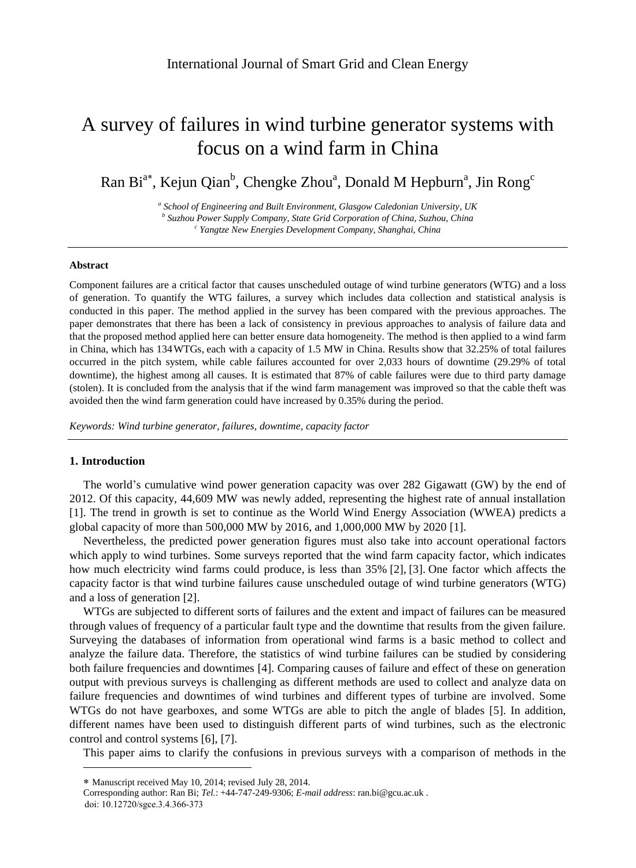# A survey of failures in wind turbine generator systems with focus on a wind farm in China

Ran Bi<sup>a\*</sup>, Kejun Qian<sup>b</sup>, Chengke Zhou<sup>a</sup>, Donald M Hepburn<sup>a</sup>, Jin Rong<sup>c</sup>

*a School of Engineering and Built Environment, Glasgow Caledonian University, UK b Suzhou Power Supply Company, State Grid Corporation of China, Suzhou, China c Yangtze New Energies Development Company, Shanghai, China*

#### **Abstract**

Component failures are a critical factor that causes unscheduled outage of wind turbine generators (WTG) and a loss of generation. To quantify the WTG failures, a survey which includes data collection and statistical analysis is conducted in this paper. The method applied in the survey has been compared with the previous approaches. The paper demonstrates that there has been a lack of consistency in previous approaches to analysis of failure data and that the proposed method applied here can better ensure data homogeneity. The method is then applied to a wind farm in China, which has 134 WTGs, each with a capacity of 1.5 MW in China. Results show that 32.25% of total failures occurred in the pitch system, while cable failures accounted for over 2,033 hours of downtime (29.29% of total downtime), the highest among all causes. It is estimated that 87% of cable failures were due to third party damage (stolen). It is concluded from the analysis that if the wind farm management was improved so that the cable theft was avoided then the wind farm generation could have increased by 0.35% during the period.

*Keywords: Wind turbine generator, failures, downtime, capacity factor*

#### **1. Introduction**

The world's cumulative wind power generation capacity was over 282 Gigawatt (GW) by the end of 2012. Of this capacity, 44,609 MW was newly added, representing the highest rate of annual installation [1]. The trend in growth is set to continue as the World Wind Energy Association (WWEA) predicts a global capacity of more than 500,000 MW by 2016, and 1,000,000 MW by 2020 [1].

Nevertheless, the predicted power generation figures must also take into account operational factors which apply to wind turbines. Some surveys reported that the wind farm capacity factor, which indicates how much electricity wind farms could produce, is less than 35% [2], [3]. One factor which affects the capacity factor is that wind turbine failures cause unscheduled outage of wind turbine generators (WTG) and a loss of generation [2].

WTGs are subjected to different sorts of failures and the extent and impact of failures can be measured through values of frequency of a particular fault type and the downtime that results from the given failure. Surveying the databases of information from operational wind farms is a basic method to collect and analyze the failure data. Therefore, the statistics of wind turbine failures can be studied by considering both failure frequencies and downtimes [4]. Comparing causes of failure and effect of these on generation output with previous surveys is challenging as different methods are used to collect and analyze data on failure frequencies and downtimes of wind turbines and different types of turbine are involved. Some WTGs do not have gearboxes, and some WTGs are able to pitch the angle of blades [5]. In addition, different names have been used to distinguish different parts of wind turbines, such as the electronic control and control systems [6], [7].

This paper aims to clarify the confusions in previous surveys with a comparison of methods in the

 $\overline{a}$ 

Manuscript received May 10, 2014; revised July 28, 2014.

Corresponding author: Ran Bi; *Tel.*: +44-747-249-9306; *E-mail address*: ran.bi@gcu.ac.uk .

doi: 10.12720/sgce.3.4.366-373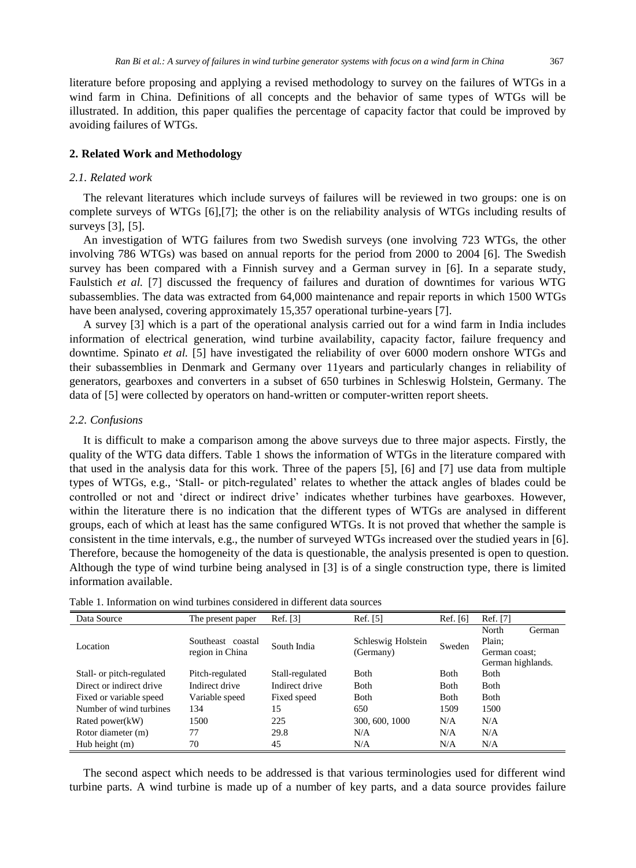literature before proposing and applying a revised methodology to survey on the failures of WTGs in a wind farm in China. Definitions of all concepts and the behavior of same types of WTGs will be illustrated. In addition, this paper qualifies the percentage of capacity factor that could be improved by avoiding failures of WTGs.

#### **2. Related Work and Methodology**

#### *2.1. Related work*

The relevant literatures which include surveys of failures will be reviewed in two groups: one is on complete surveys of WTGs [6],[7]; the other is on the reliability analysis of WTGs including results of surveys [3], [5].

An investigation of WTG failures from two Swedish surveys (one involving 723 WTGs, the other involving 786 WTGs) was based on annual reports for the period from 2000 to 2004 [6]. The Swedish survey has been compared with a Finnish survey and a German survey in [6]. In a separate study, Faulstich *et al.* [7] discussed the frequency of failures and duration of downtimes for various WTG subassemblies. The data was extracted from 64,000 maintenance and repair reports in which 1500 WTGs have been analysed, covering approximately 15,357 operational turbine-years [7].

A survey [3] which is a part of the operational analysis carried out for a wind farm in India includes information of electrical generation, wind turbine availability, capacity factor, failure frequency and downtime. Spinato *et al.* [5] have investigated the reliability of over 6000 modern onshore WTGs and their subassemblies in Denmark and Germany over 11years and particularly changes in reliability of generators, gearboxes and converters in a subset of 650 turbines in Schleswig Holstein, Germany. The data of [5] were collected by operators on hand-written or computer-written report sheets.

#### *2.2. Confusions*

It is difficult to make a comparison among the above surveys due to three major aspects. Firstly, the quality of the WTG data differs. Table 1 shows the information of WTGs in the literature compared with that used in the analysis data for this work. Three of the papers [5], [6] and [7] use data from multiple types of WTGs, e.g., 'Stall- or pitch-regulated' relates to whether the attack angles of blades could be controlled or not and 'direct or indirect drive' indicates whether turbines have gearboxes. However, within the literature there is no indication that the different types of WTGs are analysed in different consistent in the time intervals, e.g., the number of surveyed WTGs increased over the studied years in [6]. Therefore, because the homogeneity of the data is questionable, the analysis presented is open to question. Although the type of wind turbine being analysed in [3] is of a single construction type, there is limited information available. groups, each of which at least has the same configured WTGs. It is not proved that whether the sample is

| Data Source               | The present paper                    | Ref. [3]        | Ref. [5]                        | Ref. [6]    | Ref. [7]          |
|---------------------------|--------------------------------------|-----------------|---------------------------------|-------------|-------------------|
| Location                  | Southeast coastal<br>region in China | South India     | Schleswig Holstein<br>(Germany) | Sweden      | North<br>German   |
|                           |                                      |                 |                                 |             | Plain:            |
|                           |                                      |                 |                                 |             | German coast;     |
|                           |                                      |                 |                                 |             | German highlands. |
| Stall- or pitch-regulated | Pitch-regulated                      | Stall-regulated | <b>B</b> oth                    | Both        | <b>B</b> oth      |
| Direct or indirect drive  | Indirect drive                       | Indirect drive  | <b>B</b> oth                    | <b>Both</b> | <b>B</b> oth      |
| Fixed or variable speed   | Variable speed                       | Fixed speed     | <b>B</b> oth                    | Both        | <b>B</b> oth      |
| Number of wind turbines   | 134                                  | 15              | 650                             | 1509        | 1500              |
| Rated power(kW)           | 1500                                 | 225             | 300, 600, 1000                  | N/A         | N/A               |
| Rotor diameter (m)        | 77                                   | 29.8            | N/A                             | N/A         | N/A               |
| Hub height $(m)$          | 70                                   | 45              | N/A                             | N/A         | N/A               |

Table 1. Information on wind turbines considered in different data sources

The second aspect which needs to be addressed is that various terminologies used for different wind turbine parts. A wind turbine is made up of a number of key parts, and a data source provides failure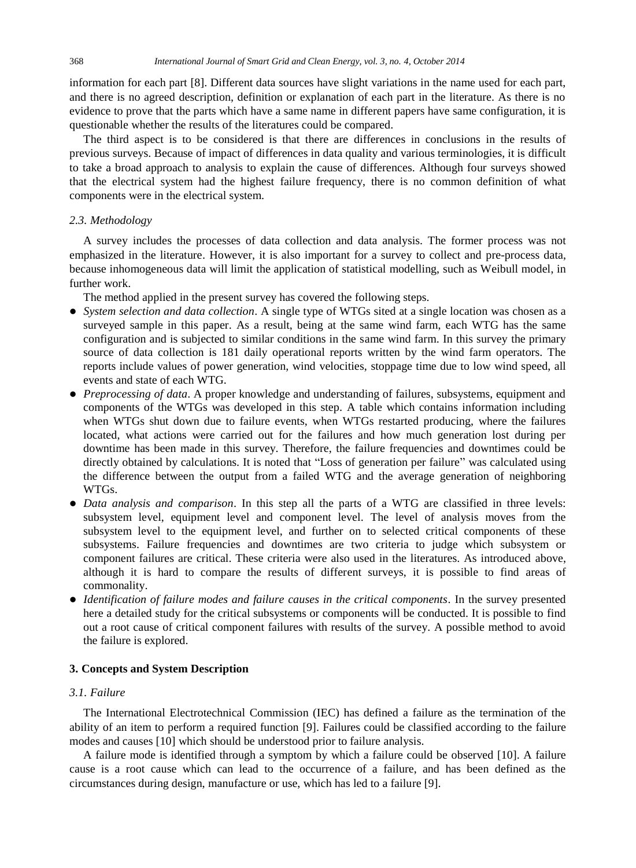information for each part [8]. Different data sources have slight variations in the name used for each part, and there is no agreed description, definition or explanation of each part in the literature. As there is no evidence to prove that the parts which have a same name in different papers have same configuration, it is questionable whether the results of the literatures could be compared.

The third aspect is to be considered is that there are differences in conclusions in the results of previous surveys. Because of impact of differences in data quality and various terminologies, it is difficult to take a broad approach to analysis to explain the cause of differences. Although four surveys showed that the electrical system had the highest failure frequency, there is no common definition of what components were in the electrical system.

#### *2.3. Methodology*

A survey includes the processes of data collection and data analysis. The former process was not emphasized in the literature. However, it is also important for a survey to collect and pre-process data, because inhomogeneous data will limit the application of statistical modelling, such as Weibull model, in further work.

The method applied in the present survey has covered the following steps.

- *System selection and data collection*. A single type of WTGs sited at a single location was chosen as a surveyed sample in this paper. As a result, being at the same wind farm, each WTG has the same configuration and is subjected to similar conditions in the same wind farm. In this survey the primary source of data collection is 181 daily operational reports written by the wind farm operators. The reports include values of power generation, wind velocities, stoppage time due to low wind speed, all events and state of each WTG.
- *Preprocessing of data*. A proper knowledge and understanding of failures, subsystems, equipment and components of the WTGs was developed in this step. A table which contains information including when WTGs shut down due to failure events, when WTGs restarted producing, where the failures located, what actions were carried out for the failures and how much generation lost during per downtime has been made in this survey. Therefore, the failure frequencies and downtimes could be directly obtained by calculations. It is noted that "Loss of generation per failure" was calculated using the difference between the output from a failed WTG and the average generation of neighboring WTGs.
- *Data analysis and comparison*. In this step all the parts of a WTG are classified in three levels: subsystem level, equipment level and component level. The level of analysis moves from the subsystem level to the equipment level, and further on to selected critical components of these subsystems. Failure frequencies and downtimes are two criteria to judge which subsystem or component failures are critical. These criteria were also used in the literatures. As introduced above, although it is hard to compare the results of different surveys, it is possible to find areas of commonality.
- *Identification of failure modes and failure causes in the critical components*. In the survey presented here a detailed study for the critical subsystems or components will be conducted. It is possible to find out a root cause of critical component failures with results of the survey. A possible method to avoid the failure is explored.

#### **3. Concepts and System Description**

#### *3.1. Failure*

The International Electrotechnical Commission (IEC) has defined a failure as the termination of the ability of an item to perform a required function [9]. Failures could be classified according to the failure modes and causes [10] which should be understood prior to failure analysis.

A failure mode is identified through a symptom by which a failure could be observed [10]. A failure cause is a root cause which can lead to the occurrence of a failure, and has been defined as the circumstances during design, manufacture or use, which has led to a failure [9].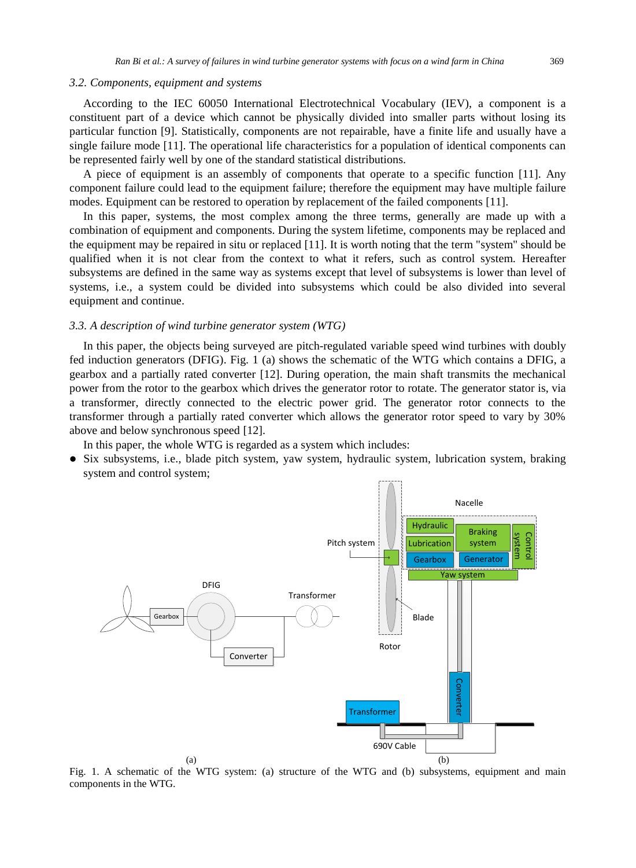#### *3.2. Components, equipment and systems*

According to the IEC 60050 International Electrotechnical Vocabulary (IEV), a component is a constituent part of a device which cannot be physically divided into smaller parts without losing its particular function [9]. Statistically, components are not repairable, have a finite life and usually have a single failure mode [11]. The operational life characteristics for a population of identical components can be represented fairly well by one of the standard statistical distributions.

A piece of equipment is an assembly of components that operate to a specific function [11]. Any component failure could lead to the equipment failure; therefore the equipment may have multiple failure modes. Equipment can be restored to operation by replacement of the failed components [11].

In this paper, systems, the most complex among the three terms, generally are made up with a combination of equipment and components. During the system lifetime, components may be replaced and the equipment may be repaired in situ or replaced [11]. It is worth noting that the term "system" should be qualified when it is not clear from the context to what it refers, such as control system. Hereafter subsystems are defined in the same way as systems except that level of subsystems is lower than level of systems, i.e., a system could be divided into subsystems which could be also divided into several equipment and continue.

#### *3.3. A description of wind turbine generator system (WTG)*

In this paper, the objects being surveyed are pitch-regulated variable speed wind turbines with doubly fed induction generators (DFIG). Fig. 1 (a) shows the schematic of the WTG which contains a DFIG, a gearbox and a partially rated converter [12]. During operation, the main shaft transmits the mechanical power from the rotor to the gearbox which drives the generator rotor to rotate. The generator stator is, via a transformer, directly connected to the electric power grid. The generator rotor connects to the transformer through a partially rated converter which allows the generator rotor speed to vary by 30% above and below synchronous speed [12].

In this paper, the whole WTG is regarded as a system which includes:

• Six subsystems, i.e., blade pitch system, yaw system, hydraulic system, lubrication system, braking system and control system;



Fig. 1. A schematic of the WTG system: (a) structure of the WTG and (b) subsystems, equipment and main components in the WTG.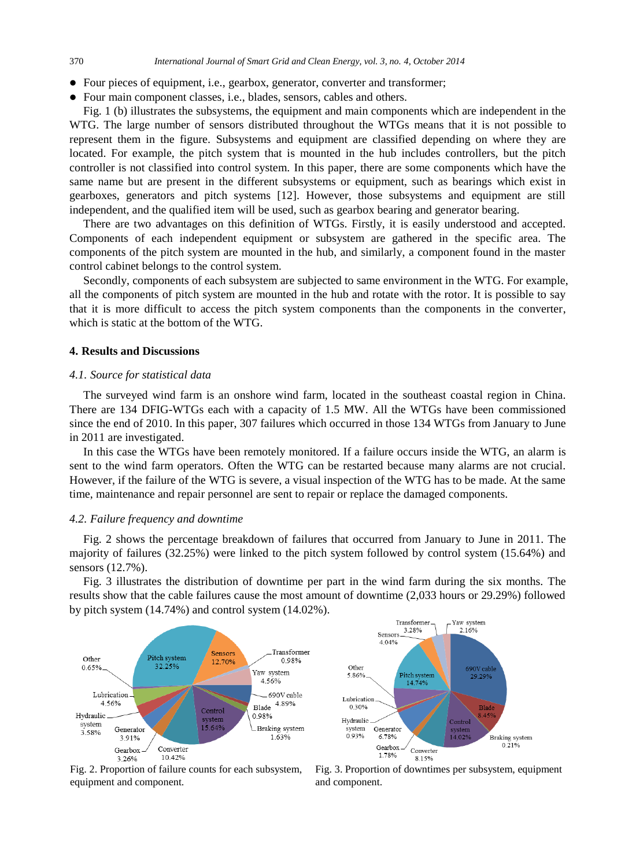- Four pieces of equipment, i.e., gearbox, generator, converter and transformer;
- Four main component classes, i.e., blades, sensors, cables and others.

Fig. 1 (b) illustrates the subsystems, the equipment and main components which are independent in the WTG. The large number of sensors distributed throughout the WTGs means that it is not possible to represent them in the figure. Subsystems and equipment are classified depending on where they are located. For example, the pitch system that is mounted in the hub includes controllers, but the pitch controller is not classified into control system. In this paper, there are some components which have the same name but are present in the different subsystems or equipment, such as bearings which exist in gearboxes, generators and pitch systems [12]. However, those subsystems and equipment are still independent, and the qualified item will be used, such as gearbox bearing and generator bearing.

There are two advantages on this definition of WTGs. Firstly, it is easily understood and accepted. Components of each independent equipment or subsystem are gathered in the specific area. The components of the pitch system are mounted in the hub, and similarly, a component found in the master control cabinet belongs to the control system.

Secondly, components of each subsystem are subjected to same environment in the WTG. For example, all the components of pitch system are mounted in the hub and rotate with the rotor. It is possible to say that it is more difficult to access the pitch system components than the components in the converter, which is static at the bottom of the WTG.

#### **4. Results and Discussions**

#### *4.1. Source for statistical data*

The surveyed wind farm is an onshore wind farm, located in the southeast coastal region in China. There are 134 DFIG-WTGs each with a capacity of 1.5 MW. All the WTGs have been commissioned since the end of 2010. In this paper, 307 failures which occurred in those 134 WTGs from January to June in 2011 are investigated.

In this case the WTGs have been remotely monitored. If a failure occurs inside the WTG, an alarm is sent to the wind farm operators. Often the WTG can be restarted because many alarms are not crucial. However, if the failure of the WTG is severe, a visual inspection of the WTG has to be made. At the same time, maintenance and repair personnel are sent to repair or replace the damaged components.

#### *4.2. Failure frequency and downtime*

Fig. 2 shows the percentage breakdown of failures that occurred from January to June in 2011. The majority of failures (32.25%) were linked to the pitch system followed by control system (15.64%) and sensors (12.7%).

Fig. 3 illustrates the distribution of downtime per part in the wind farm during the six months. The results show that the cable failures cause the most amount of downtime (2,033 hours or 29.29%) followed by pitch system (14.74%) and control system (14.02%).





Fig. 2. Proportion of failure counts for each subsystem, equipment and component.

Fig. 3. Proportion of downtimes per subsystem, equipment and component.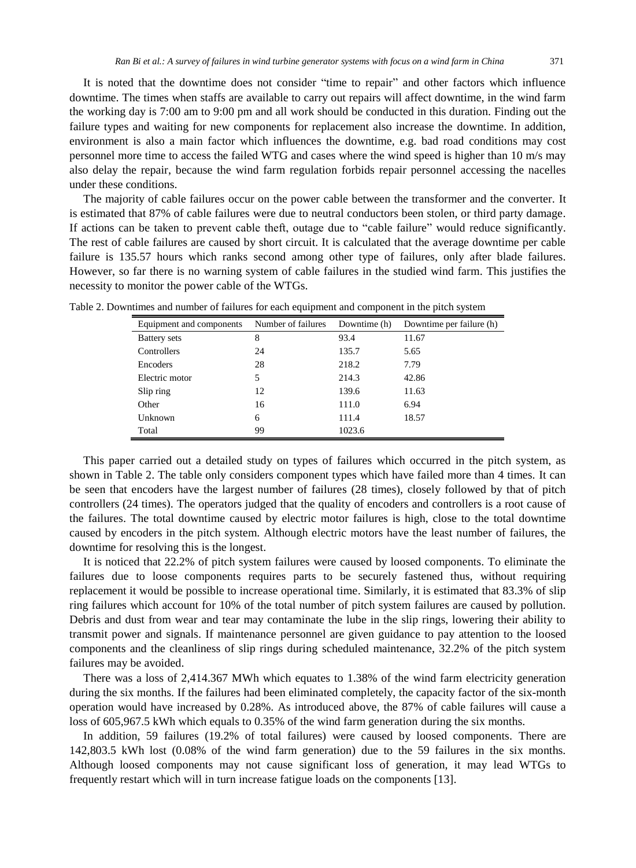It is noted that the downtime does not consider "time to repair" and other factors which influence downtime. The times when staffs are available to carry out repairs will affect downtime, in the wind farm the working day is 7:00 am to 9:00 pm and all work should be conducted in this duration. Finding out the failure types and waiting for new components for replacement also increase the downtime. In addition, environment is also a main factor which influences the downtime, e.g. bad road conditions may cost personnel more time to access the failed WTG and cases where the wind speed is higher than 10 m/s may also delay the repair, because the wind farm regulation forbids repair personnel accessing the nacelles under these conditions.

The majority of cable failures occur on the power cable between the transformer and the converter. It is estimated that 87% of cable failures were due to neutral conductors been stolen, or third party damage. If actions can be taken to prevent cable theft, outage due to "cable failure" would reduce significantly. The rest of cable failures are caused by short circuit. It is calculated that the average downtime per cable failure is 135.57 hours which ranks second among other type of failures, only after blade failures. However, so far there is no warning system of cable failures in the studied wind farm. This justifies the necessity to monitor the power cable of the WTGs.

| Equipment and components | Number of failures | Downtime (h) | Downtime per failure (h) |
|--------------------------|--------------------|--------------|--------------------------|
| Battery sets             | 8                  | 93.4         | 11.67                    |
| Controllers              | 24                 | 135.7        | 5.65                     |
| <b>Encoders</b>          | 28                 | 218.2        | 7.79                     |
| Electric motor           | 5                  | 214.3        | 42.86                    |
| Slip ring                | 12                 | 139.6        | 11.63                    |
| Other                    | 16                 | 111.0        | 6.94                     |
| Unknown                  | 6                  | 111.4        | 18.57                    |
| Total                    | 99                 | 1023.6       |                          |

Table 2. Downtimes and number of failures for each equipment and component in the pitch system

This paper carried out a detailed study on types of failures which occurred in the pitch system, as shown in Table 2. The table only considers component types which have failed more than 4 times. It can be seen that encoders have the largest number of failures (28 times), closely followed by that of pitch controllers (24 times). The operators judged that the quality of encoders and controllers is a root cause of the failures. The total downtime caused by electric motor failures is high, close to the total downtime caused by encoders in the pitch system. Although electric motors have the least number of failures, the downtime for resolving this is the longest.

It is noticed that 22.2% of pitch system failures were caused by loosed components. To eliminate the failures due to loose components requires parts to be securely fastened thus, without requiring replacement it would be possible to increase operational time. Similarly, it is estimated that 83.3% of slip ring failures which account for 10% of the total number of pitch system failures are caused by pollution. Debris and dust from wear and tear may contaminate the lube in the slip rings, lowering their ability to transmit power and signals. If maintenance personnel are given guidance to pay attention to the loosed components and the cleanliness of slip rings during scheduled maintenance, 32.2% of the pitch system failures may be avoided.

There was a loss of 2,414.367 MWh which equates to 1.38% of the wind farm electricity generation during the six months. If the failures had been eliminated completely, the capacity factor of the six-month operation would have increased by 0.28%. As introduced above, the 87% of cable failures will cause a loss of 605,967.5 kWh which equals to 0.35% of the wind farm generation during the six months.

In addition, 59 failures (19.2% of total failures) were caused by loosed components. There are 142,803.5 kWh lost (0.08% of the wind farm generation) due to the 59 failures in the six months. Although loosed components may not cause significant loss of generation, it may lead WTGs to frequently restart which will in turn increase fatigue loads on the components [13].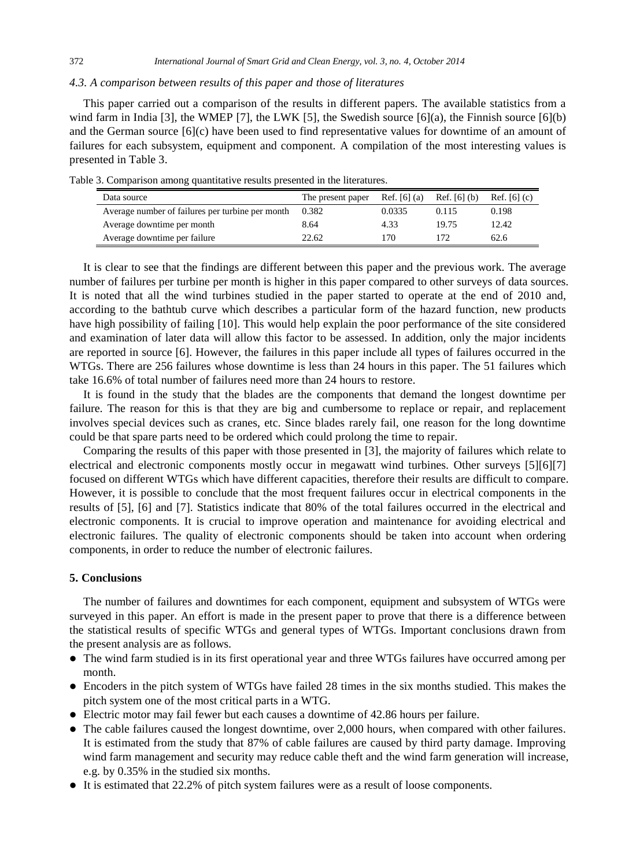### 372 *International Journal of Smart Grid and Clean Energy, vol. 3, no. 4, October 2014*

#### *4.3. A comparison between results of this paper and those of literatures*

This paper carried out a comparison of the results in different papers. The available statistics from a wind farm in India [3], the WMEP [7], the LWK [5], the Swedish source  $[6](a)$ , the Finnish source  $[6](b)$ and the German source [6](c) have been used to find representative values for downtime of an amount of failures for each subsystem, equipment and component. A compilation of the most interesting values is presented in Table 3.

| Data source                                      | The present paper | Ref. [6] $(a)$ | Ref. [6] $(b)$ | Ref. [6] $(c)$ |
|--------------------------------------------------|-------------------|----------------|----------------|----------------|
| Average number of failures per turbine per month | 0.382             | 0.0335         | 0.115          | 0.198          |
| Average downtime per month                       | 8.64              | 4.33           | 19.75          | 12.42          |
| Average downtime per failure                     | 22.62             | 170            |                | 62.6           |

Table 3. Comparison among quantitative results presented in the literatures.

It is clear to see that the findings are different between this paper and the previous work. The average number of failures per turbine per month is higher in this paper compared to other surveys of data sources. It is noted that all the wind turbines studied in the paper started to operate at the end of 2010 and, according to the bathtub curve which describes a particular form of the hazard function, new products have high possibility of failing [10]. This would help explain the poor performance of the site considered and examination of later data will allow this factor to be assessed. In addition, only the major incidents are reported in source [6]. However, the failures in this paper include all types of failures occurred in the WTGs. There are 256 failures whose downtime is less than 24 hours in this paper. The 51 failures which take 16.6% of total number of failures need more than 24 hours to restore.

It is found in the study that the blades are the components that demand the longest downtime per failure. The reason for this is that they are big and cumbersome to replace or repair, and replacement involves special devices such as cranes, etc. Since blades rarely fail, one reason for the long downtime could be that spare parts need to be ordered which could prolong the time to repair.

Comparing the results of this paper with those presented in [3], the majority of failures which relate to electrical and electronic components mostly occur in megawatt wind turbines. Other surveys [5][6][7] focused on different WTGs which have different capacities, therefore their results are difficult to compare. However, it is possible to conclude that the most frequent failures occur in electrical components in the results of [5], [6] and [7]. Statistics indicate that 80% of the total failures occurred in the electrical and electronic components. It is crucial to improve operation and maintenance for avoiding electrical and electronic failures. The quality of electronic components should be taken into account when ordering components, in order to reduce the number of electronic failures.

## **5. Conclusions**

The number of failures and downtimes for each component, equipment and subsystem of WTGs were surveyed in this paper. An effort is made in the present paper to prove that there is a difference between the statistical results of specific WTGs and general types of WTGs. Important conclusions drawn from the present analysis are as follows.

- The wind farm studied is in its first operational year and three WTGs failures have occurred among per month.
- Encoders in the pitch system of WTGs have failed 28 times in the six months studied. This makes the pitch system one of the most critical parts in a WTG.
- Electric motor may fail fewer but each causes a downtime of 42.86 hours per failure.
- The cable failures caused the longest downtime, over 2,000 hours, when compared with other failures. It is estimated from the study that 87% of cable failures are caused by third party damage. Improving wind farm management and security may reduce cable theft and the wind farm generation will increase, e.g. by 0.35% in the studied six months.
- It is estimated that 22.2% of pitch system failures were as a result of loose components.